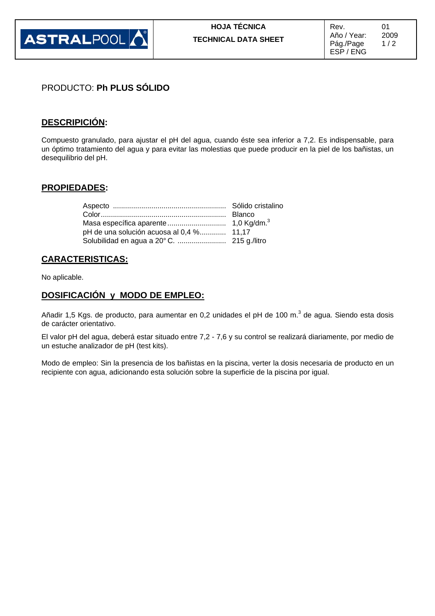

# PRODUCTO: **Ph PLUS SÓLIDO**

# **DESCRIPICIÓN:**

Compuesto granulado, para ajustar el pH del agua, cuando éste sea inferior a 7,2. Es indispensable, para un óptimo tratamiento del agua y para evitar las molestias que puede producir en la piel de los bañistas, un desequilibrio del pH.

#### **PROPIEDADES:**

| pH de una solución acuosa al 0,4 % 11,17 |  |
|------------------------------------------|--|
|                                          |  |

### **CARACTERISTICAS:**

No aplicable.

#### **DOSIFICACIÓN y MODO DE EMPLEO:**

Añadir 1,5 Kgs. de producto, para aumentar en 0,2 unidades el pH de 100 m.<sup>3</sup> de agua. Siendo esta dosis de carácter orientativo.

El valor pH del agua, deberá estar situado entre 7,2 - 7,6 y su control se realizará diariamente, por medio de un estuche analizador de pH (test kits).

Modo de empleo: Sin la presencia de los bañistas en la piscina, verter la dosis necesaria de producto en un recipiente con agua, adicionando esta solución sobre la superficie de la piscina por igual.